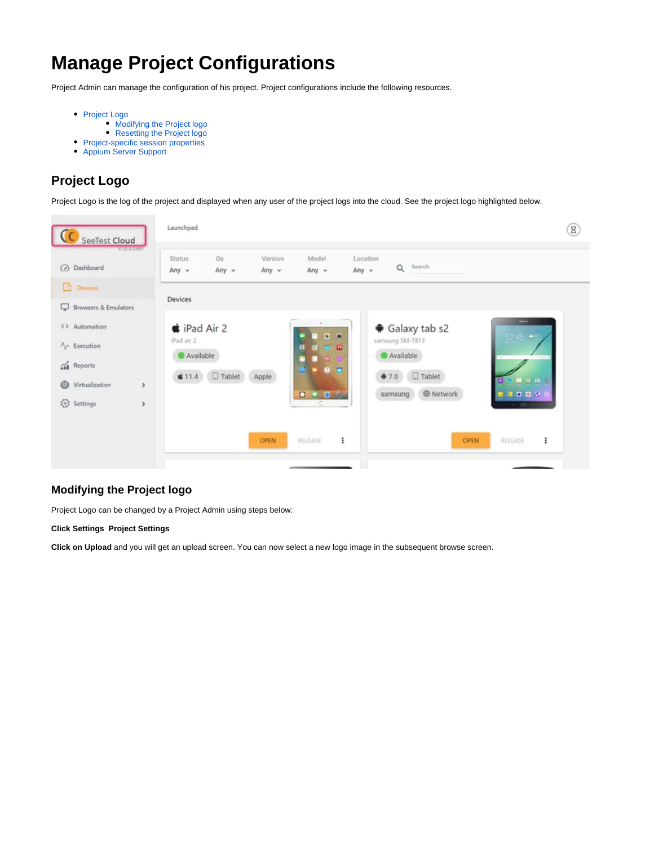# **Manage Project Configurations**

Project Admin can manage the configuration of his project. Project configurations include the following resources.

- [Project Logo](#page-0-0)
	- [Modifying the Project logo](#page-0-1)
	- [Resetting the Project logo](#page-1-0)
- Project-specific session properties
- [Appium Server Support](#page-2-0)

# <span id="page-0-0"></span>**Project Logo**

Project Logo is the log of the project and displayed when any user of the project logs into the cloud. See the project logo highlighted below.



## <span id="page-0-1"></span>**Modifying the Project logo**

Project Logo can be changed by a Project Admin using steps below:

#### **Click Settings Project Settings**

**Click on Upload** and you will get an upload screen. You can now select a new logo image in the subsequent browse screen.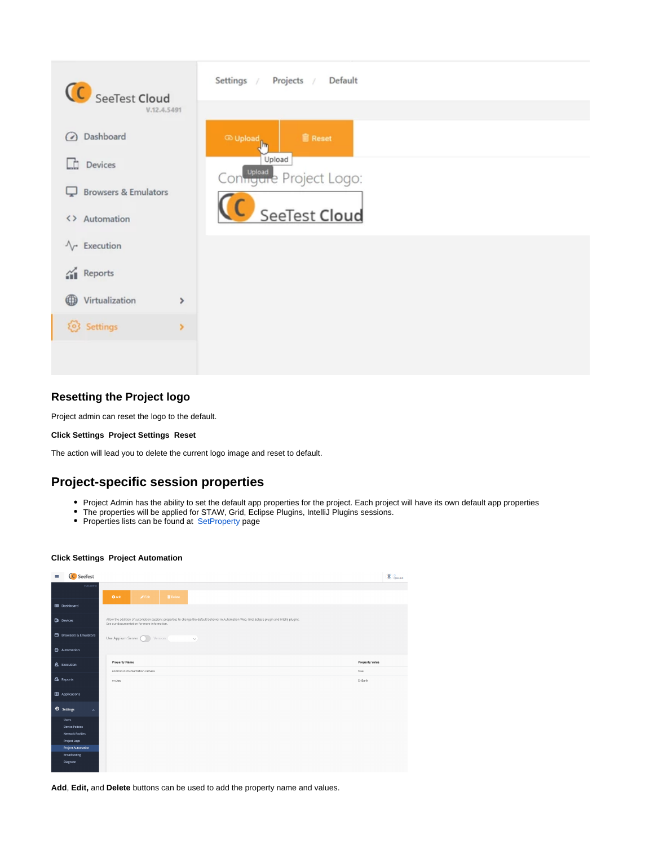

## <span id="page-1-0"></span>**Resetting the Project logo**

Project admin can reset the logo to the default.

### **Click Settings Project Settings Reset**

The action will lead you to delete the current logo image and reset to default.

## <span id="page-1-1"></span>**Project-specific session properties**

- Project Admin has the ability to set the default app properties for the project. Each project will have its own default app properties
- The properties will be applied for STAW, Grid, Eclipse Plugins, IntelliJ Plugins sessions.
- Properties lists can be found at [SetProperty](https://docs.experitest.com/display/TE/SetProperty) page

#### **Click Settings Project Automation**

| $\equiv$ | C SeeTest                        |                                                                                                                                                                                                 | $Bq$ QUEUED |
|----------|----------------------------------|-------------------------------------------------------------------------------------------------------------------------------------------------------------------------------------------------|-------------|
|          | V.20.4.8518                      |                                                                                                                                                                                                 |             |
|          | ED Dashboard                     | <b>O</b> Add<br>$Z$ Edit<br><b>IDelete</b>                                                                                                                                                      |             |
|          |                                  |                                                                                                                                                                                                 |             |
|          | <b>D</b> Devices                 | Allow the addition of automation sessions properties to change the default behavior in Automation Web, Grid, Edipse plugin and Intellij plugins.<br>See our documentation for more information. |             |
|          | <b>El</b> Browsers & Emulators   | Use Appium Server (C)<br>Version:<br>$\checkmark$                                                                                                                                               |             |
|          | Automation                       |                                                                                                                                                                                                 |             |
|          | A Execution                      | <b>Property Value</b><br><b>Property Name</b>                                                                                                                                                   |             |
|          |                                  | android.instrumentation.camera<br>true                                                                                                                                                          |             |
|          | <b>db</b> Reports                | EriBank<br>my.key                                                                                                                                                                               |             |
|          | <b>EB</b> Applications           |                                                                                                                                                                                                 |             |
|          | Settings<br>$\overline{ }$       |                                                                                                                                                                                                 |             |
|          | <b>Users</b>                     |                                                                                                                                                                                                 |             |
|          | <b>Device Policies</b>           |                                                                                                                                                                                                 |             |
|          | Network Profiles<br>Project Logo |                                                                                                                                                                                                 |             |
|          | <b>Project Automation</b>        |                                                                                                                                                                                                 |             |
|          | Broadcasting                     |                                                                                                                                                                                                 |             |
|          | Diagnose                         |                                                                                                                                                                                                 |             |

**Add**, **Edit,** and **Delete** buttons can be used to add the property name and values.